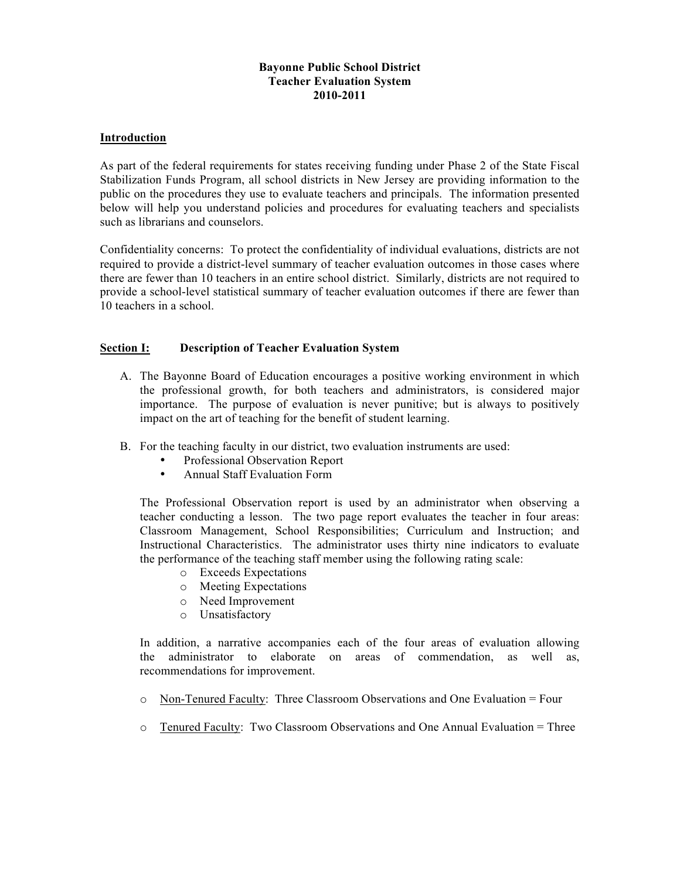# **Bayonne Public School District Teacher Evaluation System 2010-2011**

# **Introduction**

As part of the federal requirements for states receiving funding under Phase 2 of the State Fiscal Stabilization Funds Program, all school districts in New Jersey are providing information to the public on the procedures they use to evaluate teachers and principals. The information presented below will help you understand policies and procedures for evaluating teachers and specialists such as librarians and counselors.

Confidentiality concerns: To protect the confidentiality of individual evaluations, districts are not required to provide a district-level summary of teacher evaluation outcomes in those cases where there are fewer than 10 teachers in an entire school district. Similarly, districts are not required to provide a school-level statistical summary of teacher evaluation outcomes if there are fewer than 10 teachers in a school.

#### **Section I: Description of Teacher Evaluation System**

- A. The Bayonne Board of Education encourages a positive working environment in which the professional growth, for both teachers and administrators, is considered major importance. The purpose of evaluation is never punitive; but is always to positively impact on the art of teaching for the benefit of student learning.
- B. For the teaching faculty in our district, two evaluation instruments are used:
	- Professional Observation Report<br>• Annual Staff Evaluation Form
	- Annual Staff Evaluation Form

The Professional Observation report is used by an administrator when observing a teacher conducting a lesson. The two page report evaluates the teacher in four areas: Classroom Management, School Responsibilities; Curriculum and Instruction; and Instructional Characteristics. The administrator uses thirty nine indicators to evaluate the performance of the teaching staff member using the following rating scale:

- o Exceeds Expectations
- o Meeting Expectations
- o Need Improvement
- o Unsatisfactory

In addition, a narrative accompanies each of the four areas of evaluation allowing the administrator to elaborate on areas of commendation, as well as, recommendations for improvement.

- o Non-Tenured Faculty: Three Classroom Observations and One Evaluation = Four
- $\circ$  Tenured Faculty: Two Classroom Observations and One Annual Evaluation = Three